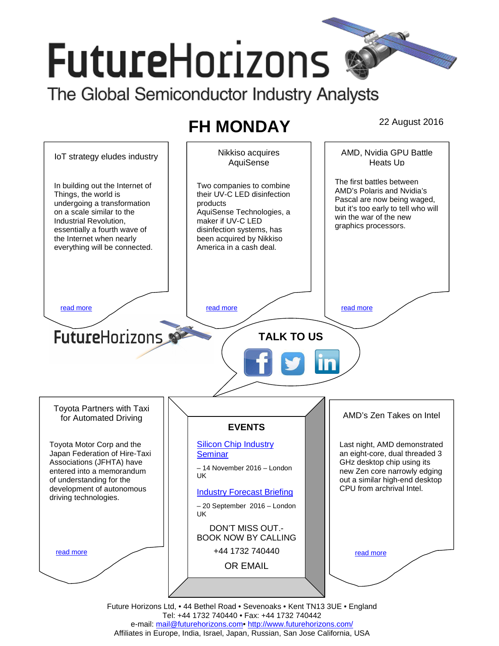# **FutureHorizons**

The Global Semiconductor Industry Analysts

## **FH MONDAY** 22 August 2016



Tel: +44 1732 740440 • Fax: +44 1732 740442 e-mail: mail@futurehorizons.com• http://www.futurehorizons.com/ Affiliates in Europe, India, Israel, Japan, Russian, San Jose California, USA